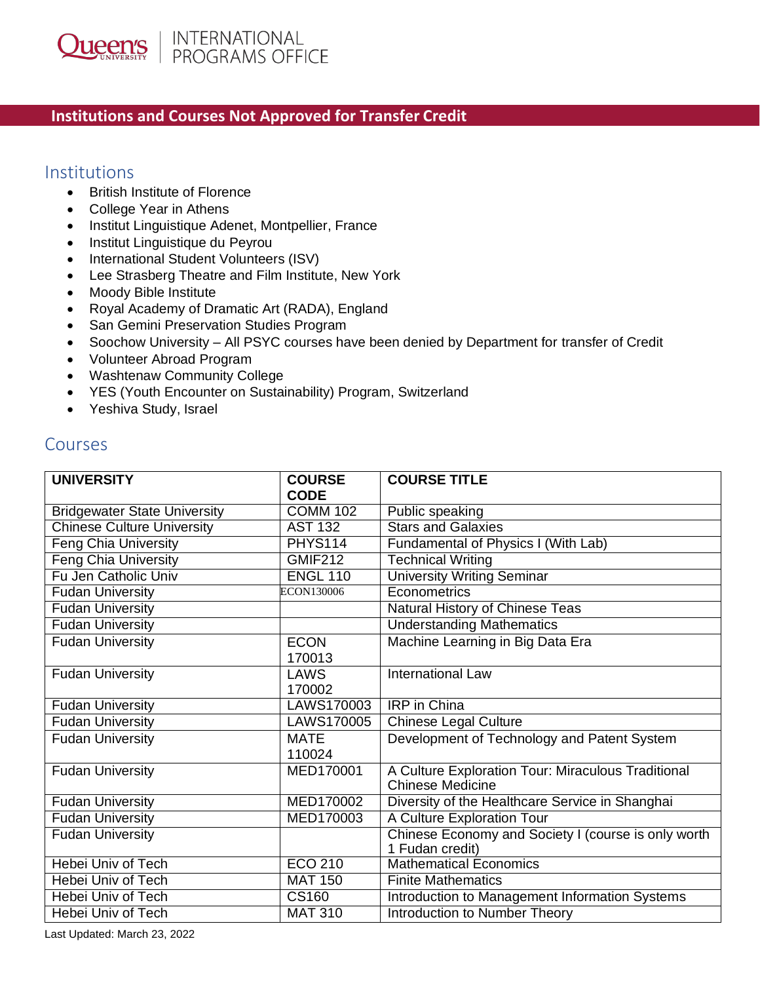## **Institutions and Courses Not Approved for Transfer Credit**

## Institutions

- British Institute of Florence
- College Year in Athens
- Institut Linguistique Adenet, Montpellier, France
- Institut Linguistique du Peyrou
- International Student Volunteers (ISV)
- Lee Strasberg Theatre and Film Institute, New York
- Moody Bible Institute
- Royal Academy of Dramatic Art (RADA), England
- San Gemini Preservation Studies Program
- Soochow University All PSYC courses have been denied by Department for transfer of Credit
- Volunteer Abroad Program
- Washtenaw Community College
- YES (Youth Encounter on Sustainability) Program, Switzerland
- Yeshiva Study, Israel

## Courses

| <b>UNIVERSITY</b>                   | <b>COURSE</b><br><b>CODE</b> | <b>COURSE TITLE</b>                                 |
|-------------------------------------|------------------------------|-----------------------------------------------------|
| <b>Bridgewater State University</b> | <b>COMM 102</b>              | Public speaking                                     |
| <b>Chinese Culture University</b>   | <b>AST 132</b>               | <b>Stars and Galaxies</b>                           |
| <b>Feng Chia University</b>         | <b>PHYS114</b>               | Fundamental of Physics I (With Lab)                 |
| <b>Feng Chia University</b>         | <b>GMIF212</b>               | <b>Technical Writing</b>                            |
| Fu Jen Catholic Univ                | <b>ENGL 110</b>              | <b>University Writing Seminar</b>                   |
| <b>Fudan University</b>             | ECON130006                   | Econometrics                                        |
| <b>Fudan University</b>             |                              | Natural History of Chinese Teas                     |
| <b>Fudan University</b>             |                              | <b>Understanding Mathematics</b>                    |
| <b>Fudan University</b>             | <b>ECON</b>                  | Machine Learning in Big Data Era                    |
|                                     | 170013                       |                                                     |
| <b>Fudan University</b>             | <b>LAWS</b>                  | <b>International Law</b>                            |
|                                     | 170002                       |                                                     |
| <b>Fudan University</b>             | LAWS170003                   | <b>IRP</b> in China                                 |
| <b>Fudan University</b>             | LAWS170005                   | <b>Chinese Legal Culture</b>                        |
| <b>Fudan University</b>             | <b>MATE</b>                  | Development of Technology and Patent System         |
|                                     | 110024                       |                                                     |
| <b>Fudan University</b>             | MED170001                    | A Culture Exploration Tour: Miraculous Traditional  |
|                                     |                              | <b>Chinese Medicine</b>                             |
| <b>Fudan University</b>             | MED170002                    | Diversity of the Healthcare Service in Shanghai     |
| <b>Fudan University</b>             | MED170003                    | A Culture Exploration Tour                          |
| <b>Fudan University</b>             |                              | Chinese Economy and Society I (course is only worth |
|                                     |                              | 1 Fudan credit)                                     |
| <b>Hebei Univ of Tech</b>           | <b>ECO 210</b>               | <b>Mathematical Economics</b>                       |
| Hebei Univ of Tech                  | <b>MAT 150</b>               | <b>Finite Mathematics</b>                           |
| Hebei Univ of Tech                  | <b>CS160</b>                 | Introduction to Management Information Systems      |
| Hebei Univ of Tech                  | <b>MAT 310</b>               | Introduction to Number Theory                       |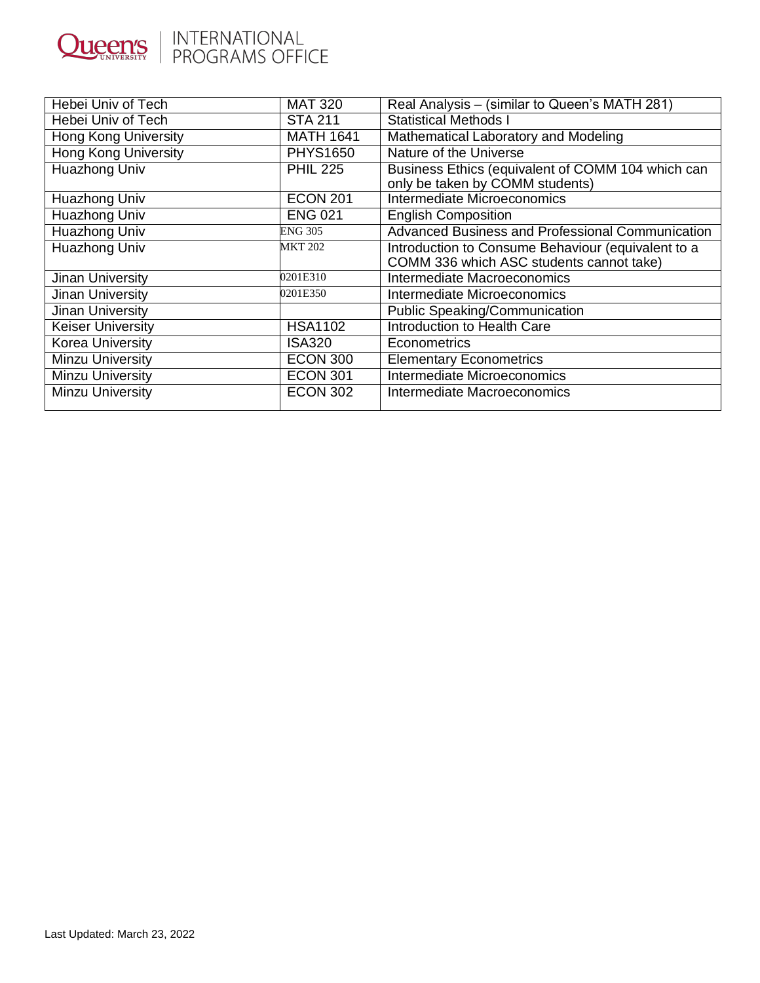|                | INTERNATIONAL     |
|----------------|-------------------|
| <b>Queen's</b> | I PROGRAMS OFFICE |

| Hebei Univ of Tech          | <b>MAT 320</b>   | Real Analysis - (similar to Queen's MATH 281)                                                  |
|-----------------------------|------------------|------------------------------------------------------------------------------------------------|
| Hebei Univ of Tech          | <b>STA 211</b>   | <b>Statistical Methods I</b>                                                                   |
| <b>Hong Kong University</b> | <b>MATH 1641</b> | Mathematical Laboratory and Modeling                                                           |
| <b>Hong Kong University</b> | <b>PHYS1650</b>  | Nature of the Universe                                                                         |
| Huazhong Univ               | <b>PHIL 225</b>  | Business Ethics (equivalent of COMM 104 which can<br>only be taken by COMM students)           |
| Huazhong Univ               | <b>ECON 201</b>  | Intermediate Microeconomics                                                                    |
| Huazhong Univ               | <b>ENG 021</b>   | <b>English Composition</b>                                                                     |
| Huazhong Univ               | <b>ENG 305</b>   | Advanced Business and Professional Communication                                               |
| Huazhong Univ               | <b>MKT 202</b>   | Introduction to Consume Behaviour (equivalent to a<br>COMM 336 which ASC students cannot take) |
| Jinan University            | 0201E310         | Intermediate Macroeconomics                                                                    |
| Jinan University            | 0201E350         | Intermediate Microeconomics                                                                    |
| Jinan University            |                  | Public Speaking/Communication                                                                  |
| <b>Keiser University</b>    | <b>HSA1102</b>   | Introduction to Health Care                                                                    |
| <b>Korea University</b>     | <b>ISA320</b>    | Econometrics                                                                                   |
| <b>Minzu University</b>     | <b>ECON 300</b>  | <b>Elementary Econometrics</b>                                                                 |
| <b>Minzu University</b>     | <b>ECON 301</b>  | Intermediate Microeconomics                                                                    |
| <b>Minzu University</b>     | <b>ECON 302</b>  | Intermediate Macroeconomics                                                                    |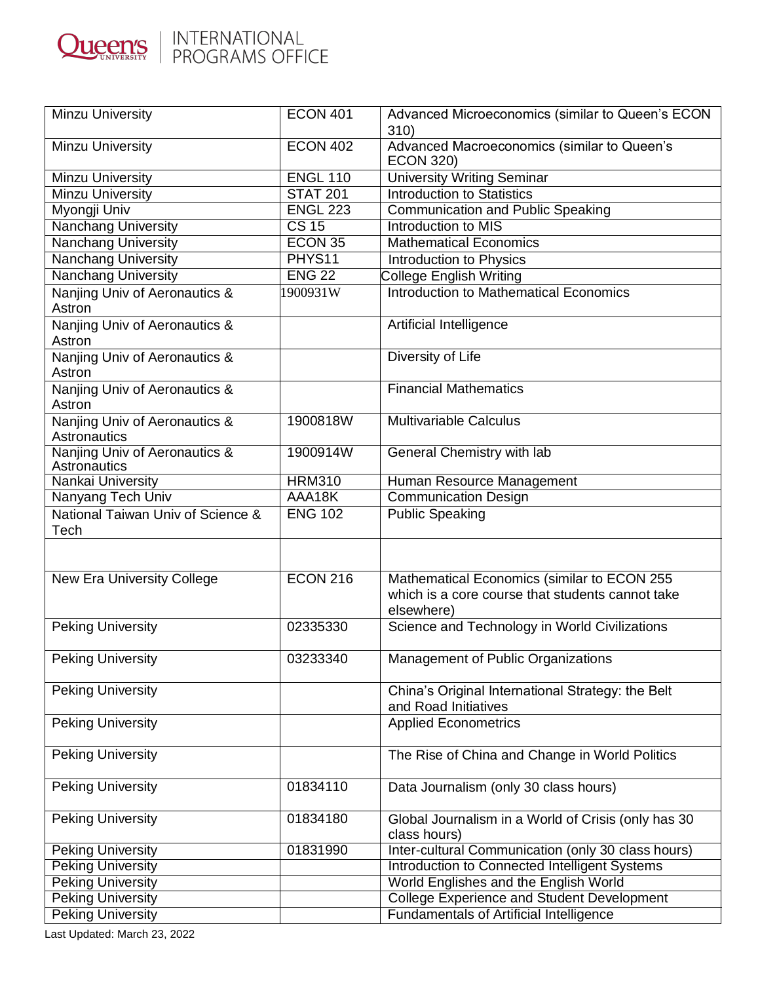

| <b>Minzu University</b>                       | <b>ECON 401</b>  | Advanced Microeconomics (similar to Queen's ECON<br>310)                                                      |
|-----------------------------------------------|------------------|---------------------------------------------------------------------------------------------------------------|
| <b>Minzu University</b>                       | <b>ECON 402</b>  | Advanced Macroeconomics (similar to Queen's<br><b>ECON 320)</b>                                               |
| <b>Minzu University</b>                       | <b>ENGL 110</b>  | <b>University Writing Seminar</b>                                                                             |
| Minzu University                              | <b>STAT 201</b>  | <b>Introduction to Statistics</b>                                                                             |
| Myongji Univ                                  | <b>ENGL 223</b>  | <b>Communication and Public Speaking</b>                                                                      |
| <b>Nanchang University</b>                    | CS <sub>15</sub> | Introduction to MIS                                                                                           |
| <b>Nanchang University</b>                    | ECON 35          | <b>Mathematical Economics</b>                                                                                 |
| <b>Nanchang University</b>                    | PHYS11           | Introduction to Physics                                                                                       |
| <b>Nanchang University</b>                    | <b>ENG 22</b>    | <b>College English Writing</b>                                                                                |
| Nanjing Univ of Aeronautics &<br>Astron       | 1900931W         | Introduction to Mathematical Economics                                                                        |
| Nanjing Univ of Aeronautics &<br>Astron       |                  | Artificial Intelligence                                                                                       |
| Nanjing Univ of Aeronautics &<br>Astron       |                  | Diversity of Life                                                                                             |
| Nanjing Univ of Aeronautics &<br>Astron       |                  | <b>Financial Mathematics</b>                                                                                  |
| Nanjing Univ of Aeronautics &<br>Astronautics | 1900818W         | <b>Multivariable Calculus</b>                                                                                 |
| Nanjing Univ of Aeronautics &<br>Astronautics | 1900914W         | <b>General Chemistry with lab</b>                                                                             |
| Nankai University                             | <b>HRM310</b>    | Human Resource Management                                                                                     |
| Nanyang Tech Univ                             | AAA18K           | <b>Communication Design</b>                                                                                   |
| National Taiwan Univ of Science &<br>Tech     | <b>ENG 102</b>   | <b>Public Speaking</b>                                                                                        |
|                                               |                  |                                                                                                               |
| <b>New Era University College</b>             | <b>ECON 216</b>  | Mathematical Economics (similar to ECON 255<br>which is a core course that students cannot take<br>elsewhere) |
| <b>Peking University</b>                      | 02335330         | Science and Technology in World Civilizations                                                                 |
| Peking University                             | 03233340         | Management of Public Organizations                                                                            |
| <b>Peking University</b>                      |                  | China's Original International Strategy: the Belt<br>and Road Initiatives                                     |
| <b>Peking University</b>                      |                  | <b>Applied Econometrics</b>                                                                                   |
| <b>Peking University</b>                      |                  | The Rise of China and Change in World Politics                                                                |
| <b>Peking University</b>                      | 01834110         | Data Journalism (only 30 class hours)                                                                         |
| <b>Peking University</b>                      | 01834180         | Global Journalism in a World of Crisis (only has 30<br>class hours)                                           |
| <b>Peking University</b>                      | 01831990         | Inter-cultural Communication (only 30 class hours)                                                            |
| <b>Peking University</b>                      |                  | Introduction to Connected Intelligent Systems                                                                 |
| <b>Peking University</b>                      |                  | World Englishes and the English World                                                                         |
| <b>Peking University</b>                      |                  | <b>College Experience and Student Development</b>                                                             |
| <b>Peking University</b>                      |                  | Fundamentals of Artificial Intelligence                                                                       |

Last Updated: March 23, 2022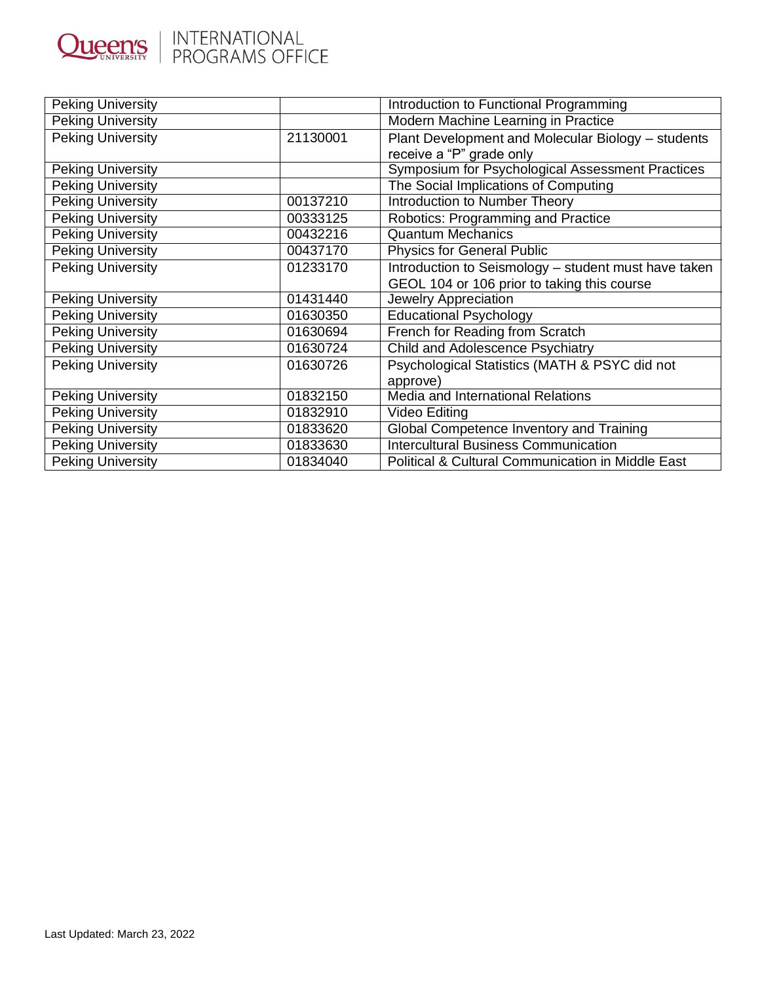

| <b>Peking University</b> |          | Introduction to Functional Programming                       |
|--------------------------|----------|--------------------------------------------------------------|
| <b>Peking University</b> |          | Modern Machine Learning in Practice                          |
| <b>Peking University</b> | 21130001 | Plant Development and Molecular Biology - students           |
|                          |          | receive a "P" grade only                                     |
| <b>Peking University</b> |          | <b>Symposium for Psychological Assessment Practices</b>      |
| <b>Peking University</b> |          | The Social Implications of Computing                         |
| <b>Peking University</b> | 00137210 | <b>Introduction to Number Theory</b>                         |
| <b>Peking University</b> | 00333125 | Robotics: Programming and Practice                           |
| <b>Peking University</b> | 00432216 | <b>Quantum Mechanics</b>                                     |
| <b>Peking University</b> | 00437170 | <b>Physics for General Public</b>                            |
| <b>Peking University</b> | 01233170 | Introduction to Seismology - student must have taken         |
|                          |          | GEOL 104 or 106 prior to taking this course                  |
| <b>Peking University</b> | 01431440 | Jewelry Appreciation                                         |
| <b>Peking University</b> | 01630350 | <b>Educational Psychology</b>                                |
| Peking University        | 01630694 | French for Reading from Scratch                              |
| <b>Peking University</b> | 01630724 | Child and Adolescence Psychiatry                             |
| <b>Peking University</b> | 01630726 | Psychological Statistics (MATH & PSYC did not                |
|                          |          | approve)                                                     |
| Peking University        | 01832150 | Media and International Relations                            |
| <b>Peking University</b> | 01832910 | Video Editing                                                |
| <b>Peking University</b> | 01833620 | Global Competence Inventory and Training                     |
| <b>Peking University</b> | 01833630 | <b>Intercultural Business Communication</b>                  |
| Peking University        | 01834040 | <b>Political &amp; Cultural Communication in Middle East</b> |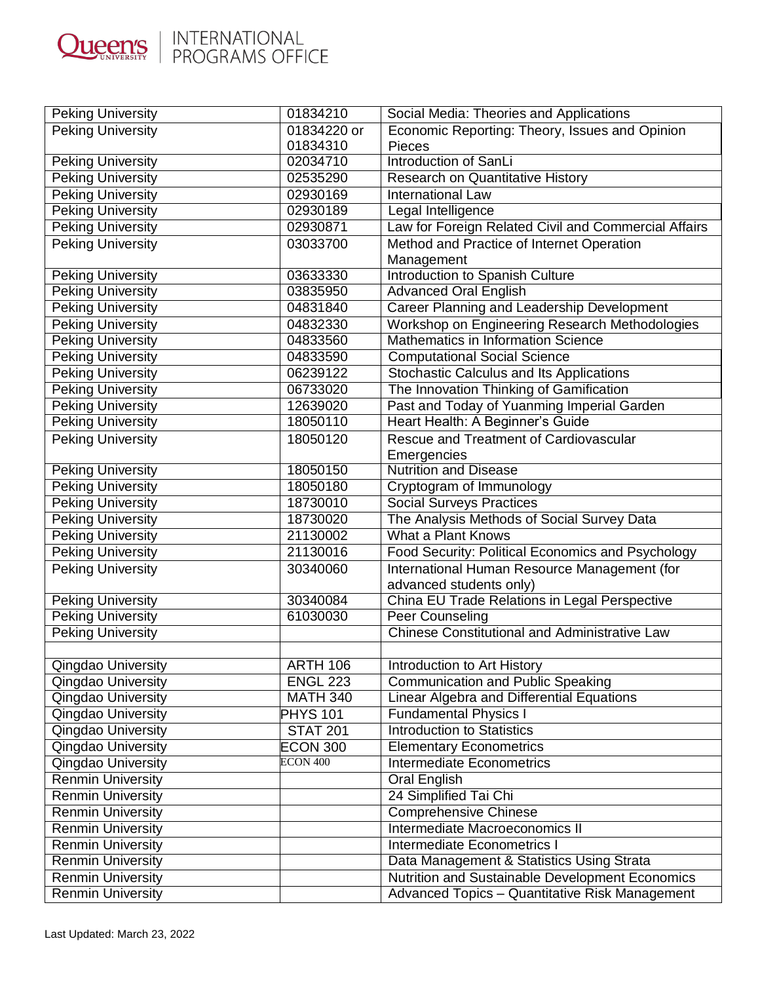

| <b>Peking University</b> | 01834210        | Social Media: Theories and Applications              |
|--------------------------|-----------------|------------------------------------------------------|
| <b>Peking University</b> | 01834220 or     | Economic Reporting: Theory, Issues and Opinion       |
|                          | 01834310        | <b>Pieces</b>                                        |
| <b>Peking University</b> | 02034710        | Introduction of SanLi                                |
| <b>Peking University</b> | 02535290        | Research on Quantitative History                     |
| <b>Peking University</b> | 02930169        | International Law                                    |
| <b>Peking University</b> | 02930189        | Legal Intelligence                                   |
| <b>Peking University</b> | 02930871        | Law for Foreign Related Civil and Commercial Affairs |
| <b>Peking University</b> | 03033700        | Method and Practice of Internet Operation            |
|                          |                 | Management                                           |
| <b>Peking University</b> | 03633330        | Introduction to Spanish Culture                      |
| <b>Peking University</b> | 03835950        | <b>Advanced Oral English</b>                         |
| <b>Peking University</b> | 04831840        | Career Planning and Leadership Development           |
| <b>Peking University</b> | 04832330        | Workshop on Engineering Research Methodologies       |
| <b>Peking University</b> | 04833560        | Mathematics in Information Science                   |
| <b>Peking University</b> | 04833590        | <b>Computational Social Science</b>                  |
| <b>Peking University</b> | 06239122        | Stochastic Calculus and Its Applications             |
| <b>Peking University</b> | 06733020        | The Innovation Thinking of Gamification              |
| <b>Peking University</b> | 12639020        | Past and Today of Yuanming Imperial Garden           |
| <b>Peking University</b> | 18050110        | Heart Health: A Beginner's Guide                     |
| <b>Peking University</b> | 18050120        | Rescue and Treatment of Cardiovascular               |
|                          |                 | Emergencies                                          |
| <b>Peking University</b> | 18050150        | <b>Nutrition and Disease</b>                         |
| <b>Peking University</b> | 18050180        | Cryptogram of Immunology                             |
| <b>Peking University</b> | 18730010        | <b>Social Surveys Practices</b>                      |
| <b>Peking University</b> | 18730020        | The Analysis Methods of Social Survey Data           |
| <b>Peking University</b> | 21130002        | <b>What a Plant Knows</b>                            |
| <b>Peking University</b> | 21130016        | Food Security: Political Economics and Psychology    |
| <b>Peking University</b> | 30340060        | International Human Resource Management (for         |
|                          |                 | advanced students only)                              |
| <b>Peking University</b> | 30340084        | China EU Trade Relations in Legal Perspective        |
| <b>Peking University</b> | 61030030        | Peer Counseling                                      |
| <b>Peking University</b> |                 | <b>Chinese Constitutional and Administrative Law</b> |
|                          |                 |                                                      |
| Qingdao University       | <b>ARTH 106</b> | Introduction to Art History                          |
| Qingdao University       | <b>ENGL 223</b> | <b>Communication and Public Speaking</b>             |
| Qingdao University       | <b>MATH 340</b> | Linear Algebra and Differential Equations            |
| Qingdao University       | <b>PHYS 101</b> | <b>Fundamental Physics I</b>                         |
| Qingdao University       | <b>STAT 201</b> | <b>Introduction to Statistics</b>                    |
| Qingdao University       | <b>ECON 300</b> | <b>Elementary Econometrics</b>                       |
| Qingdao University       | ECON 400        | <b>Intermediate Econometrics</b>                     |
| <b>Renmin University</b> |                 | Oral English                                         |
| <b>Renmin University</b> |                 | 24 Simplified Tai Chi                                |
| <b>Renmin University</b> |                 | <b>Comprehensive Chinese</b>                         |
| <b>Renmin University</b> |                 | Intermediate Macroeconomics II                       |
| <b>Renmin University</b> |                 | Intermediate Econometrics I                          |
| <b>Renmin University</b> |                 | Data Management & Statistics Using Strata            |
| <b>Renmin University</b> |                 | Nutrition and Sustainable Development Economics      |
| <b>Renmin University</b> |                 | Advanced Topics - Quantitative Risk Management       |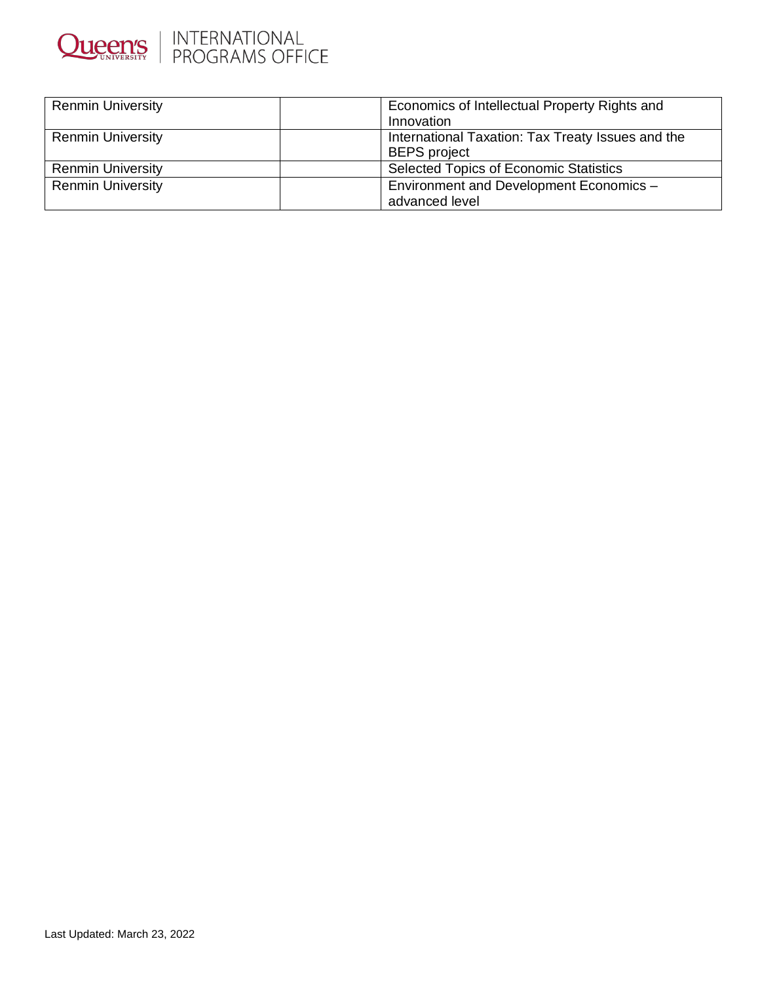

| <b>Renmin University</b> | Economics of Intellectual Property Rights and     |
|--------------------------|---------------------------------------------------|
|                          | Innovation                                        |
| <b>Renmin University</b> | International Taxation: Tax Treaty Issues and the |
|                          | <b>BEPS</b> project                               |
| <b>Renmin University</b> | <b>Selected Topics of Economic Statistics</b>     |
| <b>Renmin University</b> | Environment and Development Economics -           |
|                          | advanced level                                    |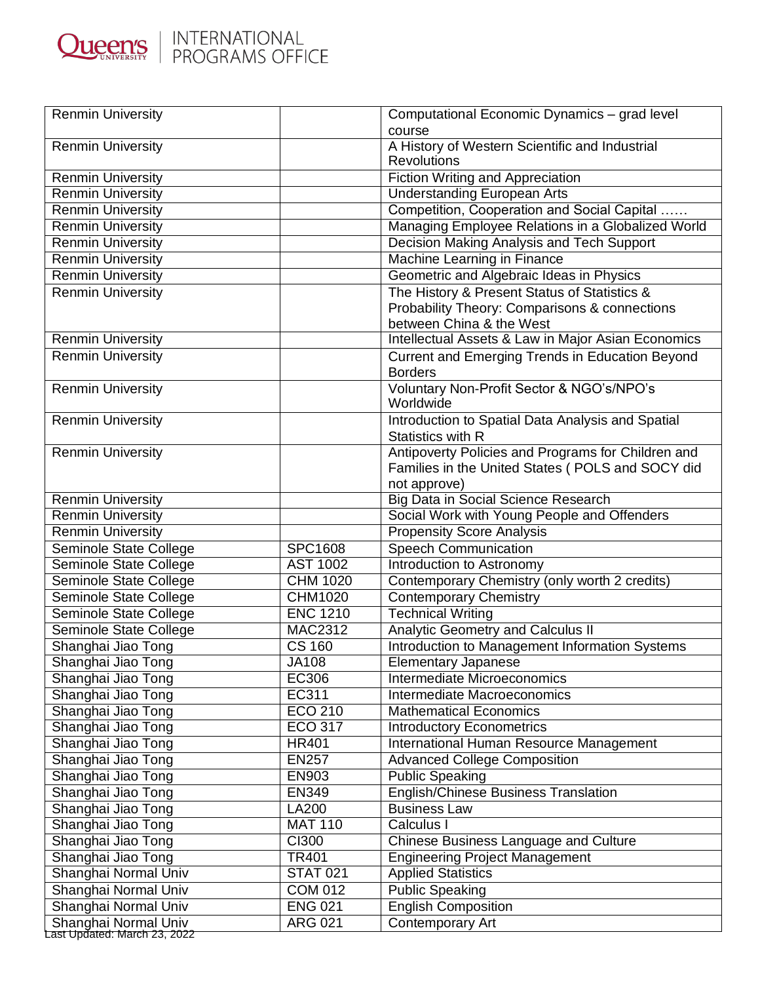

| A History of Western Scientific and Industrial<br><b>Renmin University</b><br><b>Revolutions</b><br><b>Fiction Writing and Appreciation</b><br><b>Renmin University</b><br><b>Renmin University</b><br><b>Understanding European Arts</b><br>Competition, Cooperation and Social Capital<br><b>Renmin University</b><br>Managing Employee Relations in a Globalized World<br><b>Renmin University</b><br>Decision Making Analysis and Tech Support<br><b>Renmin University</b><br>Machine Learning in Finance<br><b>Renmin University</b><br>Geometric and Algebraic Ideas in Physics<br><b>Renmin University</b><br>The History & Present Status of Statistics &<br><b>Renmin University</b><br>Probability Theory: Comparisons & connections<br>between China & the West<br>Intellectual Assets & Law in Major Asian Economics<br><b>Renmin University</b><br><b>Renmin University</b><br>Current and Emerging Trends in Education Beyond<br><b>Borders</b><br>Voluntary Non-Profit Sector & NGO's/NPO's<br><b>Renmin University</b><br>Worldwide<br><b>Renmin University</b><br>Introduction to Spatial Data Analysis and Spatial<br>Statistics with R<br>Antipoverty Policies and Programs for Children and<br><b>Renmin University</b><br>Families in the United States (POLS and SOCY did<br>not approve)<br><b>Big Data in Social Science Research</b><br><b>Renmin University</b><br>Renmin University<br>Social Work with Young People and Offenders<br><b>Renmin University</b><br><b>Propensity Score Analysis</b><br>Seminole State College<br><b>SPC1608</b><br><b>Speech Communication</b><br><b>AST 1002</b><br>Introduction to Astronomy<br>Seminole State College<br>Contemporary Chemistry (only worth 2 credits)<br>Seminole State College<br><b>CHM 1020</b><br>Seminole State College<br>CHM1020<br><b>Contemporary Chemistry</b><br><b>ENC 1210</b><br><b>Technical Writing</b><br>Seminole State College<br>Seminole State College<br><b>MAC2312</b><br><b>Analytic Geometry and Calculus II</b><br><b>CS 160</b><br>Introduction to Management Information Systems<br>Shanghai Jiao Tong<br>Shanghai Jiao Tong<br><b>JA108</b><br><b>Elementary Japanese</b><br>EC306<br>Intermediate Microeconomics<br>Shanghai Jiao Tong<br>EC311<br>Intermediate Macroeconomics<br>Shanghai Jiao Tong<br>Shanghai Jiao Tong<br><b>ECO 210</b><br><b>Mathematical Economics</b><br><b>ECO 317</b><br>Shanghai Jiao Tong<br><b>Introductory Econometrics</b><br>International Human Resource Management<br>Shanghai Jiao Tong<br><b>HR401</b><br><b>EN257</b><br><b>Advanced College Composition</b><br>Shanghai Jiao Tong<br>Shanghai Jiao Tong<br>EN903<br><b>Public Speaking</b><br><b>English/Chinese Business Translation</b><br>Shanghai Jiao Tong<br><b>EN349</b><br>Shanghai Jiao Tong<br>LA200<br><b>Business Law</b><br><b>MAT 110</b><br>Shanghai Jiao Tong<br>Calculus I<br><b>CI300</b><br><b>Chinese Business Language and Culture</b><br>Shanghai Jiao Tong<br>Shanghai Jiao Tong<br>TR401<br><b>Engineering Project Management</b><br>Shanghai Normal Univ<br><b>STAT 021</b><br><b>Applied Statistics</b><br>Shanghai Normal Univ<br><b>COM 012</b><br><b>Public Speaking</b><br>Shanghai Normal Univ<br><b>ENG 021</b><br><b>English Composition</b><br><b>ARG 021</b><br>Contemporary Art<br>Shanghai Normal Univ<br>Last Updated: March 23, 2022 | <b>Renmin University</b> | Computational Economic Dynamics - grad level |
|-------------------------------------------------------------------------------------------------------------------------------------------------------------------------------------------------------------------------------------------------------------------------------------------------------------------------------------------------------------------------------------------------------------------------------------------------------------------------------------------------------------------------------------------------------------------------------------------------------------------------------------------------------------------------------------------------------------------------------------------------------------------------------------------------------------------------------------------------------------------------------------------------------------------------------------------------------------------------------------------------------------------------------------------------------------------------------------------------------------------------------------------------------------------------------------------------------------------------------------------------------------------------------------------------------------------------------------------------------------------------------------------------------------------------------------------------------------------------------------------------------------------------------------------------------------------------------------------------------------------------------------------------------------------------------------------------------------------------------------------------------------------------------------------------------------------------------------------------------------------------------------------------------------------------------------------------------------------------------------------------------------------------------------------------------------------------------------------------------------------------------------------------------------------------------------------------------------------------------------------------------------------------------------------------------------------------------------------------------------------------------------------------------------------------------------------------------------------------------------------------------------------------------------------------------------------------------------------------------------------------------------------------------------------------------------------------------------------------------------------------------------------------------------------------------------------------------------------------------------------------------------------------------------------------------------------------------------------------------------------------------------------------------------------------------------------------------------------------------------------------------------------------------------------------------------------------------------------------------------------------------------------------------------------------------------------------------------------------------------------------------|--------------------------|----------------------------------------------|
|                                                                                                                                                                                                                                                                                                                                                                                                                                                                                                                                                                                                                                                                                                                                                                                                                                                                                                                                                                                                                                                                                                                                                                                                                                                                                                                                                                                                                                                                                                                                                                                                                                                                                                                                                                                                                                                                                                                                                                                                                                                                                                                                                                                                                                                                                                                                                                                                                                                                                                                                                                                                                                                                                                                                                                                                                                                                                                                                                                                                                                                                                                                                                                                                                                                                                                                                                                               |                          | course                                       |
|                                                                                                                                                                                                                                                                                                                                                                                                                                                                                                                                                                                                                                                                                                                                                                                                                                                                                                                                                                                                                                                                                                                                                                                                                                                                                                                                                                                                                                                                                                                                                                                                                                                                                                                                                                                                                                                                                                                                                                                                                                                                                                                                                                                                                                                                                                                                                                                                                                                                                                                                                                                                                                                                                                                                                                                                                                                                                                                                                                                                                                                                                                                                                                                                                                                                                                                                                                               |                          |                                              |
|                                                                                                                                                                                                                                                                                                                                                                                                                                                                                                                                                                                                                                                                                                                                                                                                                                                                                                                                                                                                                                                                                                                                                                                                                                                                                                                                                                                                                                                                                                                                                                                                                                                                                                                                                                                                                                                                                                                                                                                                                                                                                                                                                                                                                                                                                                                                                                                                                                                                                                                                                                                                                                                                                                                                                                                                                                                                                                                                                                                                                                                                                                                                                                                                                                                                                                                                                                               |                          |                                              |
|                                                                                                                                                                                                                                                                                                                                                                                                                                                                                                                                                                                                                                                                                                                                                                                                                                                                                                                                                                                                                                                                                                                                                                                                                                                                                                                                                                                                                                                                                                                                                                                                                                                                                                                                                                                                                                                                                                                                                                                                                                                                                                                                                                                                                                                                                                                                                                                                                                                                                                                                                                                                                                                                                                                                                                                                                                                                                                                                                                                                                                                                                                                                                                                                                                                                                                                                                                               |                          |                                              |
|                                                                                                                                                                                                                                                                                                                                                                                                                                                                                                                                                                                                                                                                                                                                                                                                                                                                                                                                                                                                                                                                                                                                                                                                                                                                                                                                                                                                                                                                                                                                                                                                                                                                                                                                                                                                                                                                                                                                                                                                                                                                                                                                                                                                                                                                                                                                                                                                                                                                                                                                                                                                                                                                                                                                                                                                                                                                                                                                                                                                                                                                                                                                                                                                                                                                                                                                                                               |                          |                                              |
|                                                                                                                                                                                                                                                                                                                                                                                                                                                                                                                                                                                                                                                                                                                                                                                                                                                                                                                                                                                                                                                                                                                                                                                                                                                                                                                                                                                                                                                                                                                                                                                                                                                                                                                                                                                                                                                                                                                                                                                                                                                                                                                                                                                                                                                                                                                                                                                                                                                                                                                                                                                                                                                                                                                                                                                                                                                                                                                                                                                                                                                                                                                                                                                                                                                                                                                                                                               |                          |                                              |
|                                                                                                                                                                                                                                                                                                                                                                                                                                                                                                                                                                                                                                                                                                                                                                                                                                                                                                                                                                                                                                                                                                                                                                                                                                                                                                                                                                                                                                                                                                                                                                                                                                                                                                                                                                                                                                                                                                                                                                                                                                                                                                                                                                                                                                                                                                                                                                                                                                                                                                                                                                                                                                                                                                                                                                                                                                                                                                                                                                                                                                                                                                                                                                                                                                                                                                                                                                               |                          |                                              |
|                                                                                                                                                                                                                                                                                                                                                                                                                                                                                                                                                                                                                                                                                                                                                                                                                                                                                                                                                                                                                                                                                                                                                                                                                                                                                                                                                                                                                                                                                                                                                                                                                                                                                                                                                                                                                                                                                                                                                                                                                                                                                                                                                                                                                                                                                                                                                                                                                                                                                                                                                                                                                                                                                                                                                                                                                                                                                                                                                                                                                                                                                                                                                                                                                                                                                                                                                                               |                          |                                              |
|                                                                                                                                                                                                                                                                                                                                                                                                                                                                                                                                                                                                                                                                                                                                                                                                                                                                                                                                                                                                                                                                                                                                                                                                                                                                                                                                                                                                                                                                                                                                                                                                                                                                                                                                                                                                                                                                                                                                                                                                                                                                                                                                                                                                                                                                                                                                                                                                                                                                                                                                                                                                                                                                                                                                                                                                                                                                                                                                                                                                                                                                                                                                                                                                                                                                                                                                                                               |                          |                                              |
|                                                                                                                                                                                                                                                                                                                                                                                                                                                                                                                                                                                                                                                                                                                                                                                                                                                                                                                                                                                                                                                                                                                                                                                                                                                                                                                                                                                                                                                                                                                                                                                                                                                                                                                                                                                                                                                                                                                                                                                                                                                                                                                                                                                                                                                                                                                                                                                                                                                                                                                                                                                                                                                                                                                                                                                                                                                                                                                                                                                                                                                                                                                                                                                                                                                                                                                                                                               |                          |                                              |
|                                                                                                                                                                                                                                                                                                                                                                                                                                                                                                                                                                                                                                                                                                                                                                                                                                                                                                                                                                                                                                                                                                                                                                                                                                                                                                                                                                                                                                                                                                                                                                                                                                                                                                                                                                                                                                                                                                                                                                                                                                                                                                                                                                                                                                                                                                                                                                                                                                                                                                                                                                                                                                                                                                                                                                                                                                                                                                                                                                                                                                                                                                                                                                                                                                                                                                                                                                               |                          |                                              |
|                                                                                                                                                                                                                                                                                                                                                                                                                                                                                                                                                                                                                                                                                                                                                                                                                                                                                                                                                                                                                                                                                                                                                                                                                                                                                                                                                                                                                                                                                                                                                                                                                                                                                                                                                                                                                                                                                                                                                                                                                                                                                                                                                                                                                                                                                                                                                                                                                                                                                                                                                                                                                                                                                                                                                                                                                                                                                                                                                                                                                                                                                                                                                                                                                                                                                                                                                                               |                          |                                              |
|                                                                                                                                                                                                                                                                                                                                                                                                                                                                                                                                                                                                                                                                                                                                                                                                                                                                                                                                                                                                                                                                                                                                                                                                                                                                                                                                                                                                                                                                                                                                                                                                                                                                                                                                                                                                                                                                                                                                                                                                                                                                                                                                                                                                                                                                                                                                                                                                                                                                                                                                                                                                                                                                                                                                                                                                                                                                                                                                                                                                                                                                                                                                                                                                                                                                                                                                                                               |                          |                                              |
|                                                                                                                                                                                                                                                                                                                                                                                                                                                                                                                                                                                                                                                                                                                                                                                                                                                                                                                                                                                                                                                                                                                                                                                                                                                                                                                                                                                                                                                                                                                                                                                                                                                                                                                                                                                                                                                                                                                                                                                                                                                                                                                                                                                                                                                                                                                                                                                                                                                                                                                                                                                                                                                                                                                                                                                                                                                                                                                                                                                                                                                                                                                                                                                                                                                                                                                                                                               |                          |                                              |
|                                                                                                                                                                                                                                                                                                                                                                                                                                                                                                                                                                                                                                                                                                                                                                                                                                                                                                                                                                                                                                                                                                                                                                                                                                                                                                                                                                                                                                                                                                                                                                                                                                                                                                                                                                                                                                                                                                                                                                                                                                                                                                                                                                                                                                                                                                                                                                                                                                                                                                                                                                                                                                                                                                                                                                                                                                                                                                                                                                                                                                                                                                                                                                                                                                                                                                                                                                               |                          |                                              |
|                                                                                                                                                                                                                                                                                                                                                                                                                                                                                                                                                                                                                                                                                                                                                                                                                                                                                                                                                                                                                                                                                                                                                                                                                                                                                                                                                                                                                                                                                                                                                                                                                                                                                                                                                                                                                                                                                                                                                                                                                                                                                                                                                                                                                                                                                                                                                                                                                                                                                                                                                                                                                                                                                                                                                                                                                                                                                                                                                                                                                                                                                                                                                                                                                                                                                                                                                                               |                          |                                              |
|                                                                                                                                                                                                                                                                                                                                                                                                                                                                                                                                                                                                                                                                                                                                                                                                                                                                                                                                                                                                                                                                                                                                                                                                                                                                                                                                                                                                                                                                                                                                                                                                                                                                                                                                                                                                                                                                                                                                                                                                                                                                                                                                                                                                                                                                                                                                                                                                                                                                                                                                                                                                                                                                                                                                                                                                                                                                                                                                                                                                                                                                                                                                                                                                                                                                                                                                                                               |                          |                                              |
|                                                                                                                                                                                                                                                                                                                                                                                                                                                                                                                                                                                                                                                                                                                                                                                                                                                                                                                                                                                                                                                                                                                                                                                                                                                                                                                                                                                                                                                                                                                                                                                                                                                                                                                                                                                                                                                                                                                                                                                                                                                                                                                                                                                                                                                                                                                                                                                                                                                                                                                                                                                                                                                                                                                                                                                                                                                                                                                                                                                                                                                                                                                                                                                                                                                                                                                                                                               |                          |                                              |
|                                                                                                                                                                                                                                                                                                                                                                                                                                                                                                                                                                                                                                                                                                                                                                                                                                                                                                                                                                                                                                                                                                                                                                                                                                                                                                                                                                                                                                                                                                                                                                                                                                                                                                                                                                                                                                                                                                                                                                                                                                                                                                                                                                                                                                                                                                                                                                                                                                                                                                                                                                                                                                                                                                                                                                                                                                                                                                                                                                                                                                                                                                                                                                                                                                                                                                                                                                               |                          |                                              |
|                                                                                                                                                                                                                                                                                                                                                                                                                                                                                                                                                                                                                                                                                                                                                                                                                                                                                                                                                                                                                                                                                                                                                                                                                                                                                                                                                                                                                                                                                                                                                                                                                                                                                                                                                                                                                                                                                                                                                                                                                                                                                                                                                                                                                                                                                                                                                                                                                                                                                                                                                                                                                                                                                                                                                                                                                                                                                                                                                                                                                                                                                                                                                                                                                                                                                                                                                                               |                          |                                              |
|                                                                                                                                                                                                                                                                                                                                                                                                                                                                                                                                                                                                                                                                                                                                                                                                                                                                                                                                                                                                                                                                                                                                                                                                                                                                                                                                                                                                                                                                                                                                                                                                                                                                                                                                                                                                                                                                                                                                                                                                                                                                                                                                                                                                                                                                                                                                                                                                                                                                                                                                                                                                                                                                                                                                                                                                                                                                                                                                                                                                                                                                                                                                                                                                                                                                                                                                                                               |                          |                                              |
|                                                                                                                                                                                                                                                                                                                                                                                                                                                                                                                                                                                                                                                                                                                                                                                                                                                                                                                                                                                                                                                                                                                                                                                                                                                                                                                                                                                                                                                                                                                                                                                                                                                                                                                                                                                                                                                                                                                                                                                                                                                                                                                                                                                                                                                                                                                                                                                                                                                                                                                                                                                                                                                                                                                                                                                                                                                                                                                                                                                                                                                                                                                                                                                                                                                                                                                                                                               |                          |                                              |
|                                                                                                                                                                                                                                                                                                                                                                                                                                                                                                                                                                                                                                                                                                                                                                                                                                                                                                                                                                                                                                                                                                                                                                                                                                                                                                                                                                                                                                                                                                                                                                                                                                                                                                                                                                                                                                                                                                                                                                                                                                                                                                                                                                                                                                                                                                                                                                                                                                                                                                                                                                                                                                                                                                                                                                                                                                                                                                                                                                                                                                                                                                                                                                                                                                                                                                                                                                               |                          |                                              |
|                                                                                                                                                                                                                                                                                                                                                                                                                                                                                                                                                                                                                                                                                                                                                                                                                                                                                                                                                                                                                                                                                                                                                                                                                                                                                                                                                                                                                                                                                                                                                                                                                                                                                                                                                                                                                                                                                                                                                                                                                                                                                                                                                                                                                                                                                                                                                                                                                                                                                                                                                                                                                                                                                                                                                                                                                                                                                                                                                                                                                                                                                                                                                                                                                                                                                                                                                                               |                          |                                              |
|                                                                                                                                                                                                                                                                                                                                                                                                                                                                                                                                                                                                                                                                                                                                                                                                                                                                                                                                                                                                                                                                                                                                                                                                                                                                                                                                                                                                                                                                                                                                                                                                                                                                                                                                                                                                                                                                                                                                                                                                                                                                                                                                                                                                                                                                                                                                                                                                                                                                                                                                                                                                                                                                                                                                                                                                                                                                                                                                                                                                                                                                                                                                                                                                                                                                                                                                                                               |                          |                                              |
|                                                                                                                                                                                                                                                                                                                                                                                                                                                                                                                                                                                                                                                                                                                                                                                                                                                                                                                                                                                                                                                                                                                                                                                                                                                                                                                                                                                                                                                                                                                                                                                                                                                                                                                                                                                                                                                                                                                                                                                                                                                                                                                                                                                                                                                                                                                                                                                                                                                                                                                                                                                                                                                                                                                                                                                                                                                                                                                                                                                                                                                                                                                                                                                                                                                                                                                                                                               |                          |                                              |
|                                                                                                                                                                                                                                                                                                                                                                                                                                                                                                                                                                                                                                                                                                                                                                                                                                                                                                                                                                                                                                                                                                                                                                                                                                                                                                                                                                                                                                                                                                                                                                                                                                                                                                                                                                                                                                                                                                                                                                                                                                                                                                                                                                                                                                                                                                                                                                                                                                                                                                                                                                                                                                                                                                                                                                                                                                                                                                                                                                                                                                                                                                                                                                                                                                                                                                                                                                               |                          |                                              |
|                                                                                                                                                                                                                                                                                                                                                                                                                                                                                                                                                                                                                                                                                                                                                                                                                                                                                                                                                                                                                                                                                                                                                                                                                                                                                                                                                                                                                                                                                                                                                                                                                                                                                                                                                                                                                                                                                                                                                                                                                                                                                                                                                                                                                                                                                                                                                                                                                                                                                                                                                                                                                                                                                                                                                                                                                                                                                                                                                                                                                                                                                                                                                                                                                                                                                                                                                                               |                          |                                              |
|                                                                                                                                                                                                                                                                                                                                                                                                                                                                                                                                                                                                                                                                                                                                                                                                                                                                                                                                                                                                                                                                                                                                                                                                                                                                                                                                                                                                                                                                                                                                                                                                                                                                                                                                                                                                                                                                                                                                                                                                                                                                                                                                                                                                                                                                                                                                                                                                                                                                                                                                                                                                                                                                                                                                                                                                                                                                                                                                                                                                                                                                                                                                                                                                                                                                                                                                                                               |                          |                                              |
|                                                                                                                                                                                                                                                                                                                                                                                                                                                                                                                                                                                                                                                                                                                                                                                                                                                                                                                                                                                                                                                                                                                                                                                                                                                                                                                                                                                                                                                                                                                                                                                                                                                                                                                                                                                                                                                                                                                                                                                                                                                                                                                                                                                                                                                                                                                                                                                                                                                                                                                                                                                                                                                                                                                                                                                                                                                                                                                                                                                                                                                                                                                                                                                                                                                                                                                                                                               |                          |                                              |
|                                                                                                                                                                                                                                                                                                                                                                                                                                                                                                                                                                                                                                                                                                                                                                                                                                                                                                                                                                                                                                                                                                                                                                                                                                                                                                                                                                                                                                                                                                                                                                                                                                                                                                                                                                                                                                                                                                                                                                                                                                                                                                                                                                                                                                                                                                                                                                                                                                                                                                                                                                                                                                                                                                                                                                                                                                                                                                                                                                                                                                                                                                                                                                                                                                                                                                                                                                               |                          |                                              |
|                                                                                                                                                                                                                                                                                                                                                                                                                                                                                                                                                                                                                                                                                                                                                                                                                                                                                                                                                                                                                                                                                                                                                                                                                                                                                                                                                                                                                                                                                                                                                                                                                                                                                                                                                                                                                                                                                                                                                                                                                                                                                                                                                                                                                                                                                                                                                                                                                                                                                                                                                                                                                                                                                                                                                                                                                                                                                                                                                                                                                                                                                                                                                                                                                                                                                                                                                                               |                          |                                              |
|                                                                                                                                                                                                                                                                                                                                                                                                                                                                                                                                                                                                                                                                                                                                                                                                                                                                                                                                                                                                                                                                                                                                                                                                                                                                                                                                                                                                                                                                                                                                                                                                                                                                                                                                                                                                                                                                                                                                                                                                                                                                                                                                                                                                                                                                                                                                                                                                                                                                                                                                                                                                                                                                                                                                                                                                                                                                                                                                                                                                                                                                                                                                                                                                                                                                                                                                                                               |                          |                                              |
|                                                                                                                                                                                                                                                                                                                                                                                                                                                                                                                                                                                                                                                                                                                                                                                                                                                                                                                                                                                                                                                                                                                                                                                                                                                                                                                                                                                                                                                                                                                                                                                                                                                                                                                                                                                                                                                                                                                                                                                                                                                                                                                                                                                                                                                                                                                                                                                                                                                                                                                                                                                                                                                                                                                                                                                                                                                                                                                                                                                                                                                                                                                                                                                                                                                                                                                                                                               |                          |                                              |
|                                                                                                                                                                                                                                                                                                                                                                                                                                                                                                                                                                                                                                                                                                                                                                                                                                                                                                                                                                                                                                                                                                                                                                                                                                                                                                                                                                                                                                                                                                                                                                                                                                                                                                                                                                                                                                                                                                                                                                                                                                                                                                                                                                                                                                                                                                                                                                                                                                                                                                                                                                                                                                                                                                                                                                                                                                                                                                                                                                                                                                                                                                                                                                                                                                                                                                                                                                               |                          |                                              |
|                                                                                                                                                                                                                                                                                                                                                                                                                                                                                                                                                                                                                                                                                                                                                                                                                                                                                                                                                                                                                                                                                                                                                                                                                                                                                                                                                                                                                                                                                                                                                                                                                                                                                                                                                                                                                                                                                                                                                                                                                                                                                                                                                                                                                                                                                                                                                                                                                                                                                                                                                                                                                                                                                                                                                                                                                                                                                                                                                                                                                                                                                                                                                                                                                                                                                                                                                                               |                          |                                              |
|                                                                                                                                                                                                                                                                                                                                                                                                                                                                                                                                                                                                                                                                                                                                                                                                                                                                                                                                                                                                                                                                                                                                                                                                                                                                                                                                                                                                                                                                                                                                                                                                                                                                                                                                                                                                                                                                                                                                                                                                                                                                                                                                                                                                                                                                                                                                                                                                                                                                                                                                                                                                                                                                                                                                                                                                                                                                                                                                                                                                                                                                                                                                                                                                                                                                                                                                                                               |                          |                                              |
|                                                                                                                                                                                                                                                                                                                                                                                                                                                                                                                                                                                                                                                                                                                                                                                                                                                                                                                                                                                                                                                                                                                                                                                                                                                                                                                                                                                                                                                                                                                                                                                                                                                                                                                                                                                                                                                                                                                                                                                                                                                                                                                                                                                                                                                                                                                                                                                                                                                                                                                                                                                                                                                                                                                                                                                                                                                                                                                                                                                                                                                                                                                                                                                                                                                                                                                                                                               |                          |                                              |
|                                                                                                                                                                                                                                                                                                                                                                                                                                                                                                                                                                                                                                                                                                                                                                                                                                                                                                                                                                                                                                                                                                                                                                                                                                                                                                                                                                                                                                                                                                                                                                                                                                                                                                                                                                                                                                                                                                                                                                                                                                                                                                                                                                                                                                                                                                                                                                                                                                                                                                                                                                                                                                                                                                                                                                                                                                                                                                                                                                                                                                                                                                                                                                                                                                                                                                                                                                               |                          |                                              |
|                                                                                                                                                                                                                                                                                                                                                                                                                                                                                                                                                                                                                                                                                                                                                                                                                                                                                                                                                                                                                                                                                                                                                                                                                                                                                                                                                                                                                                                                                                                                                                                                                                                                                                                                                                                                                                                                                                                                                                                                                                                                                                                                                                                                                                                                                                                                                                                                                                                                                                                                                                                                                                                                                                                                                                                                                                                                                                                                                                                                                                                                                                                                                                                                                                                                                                                                                                               |                          |                                              |
|                                                                                                                                                                                                                                                                                                                                                                                                                                                                                                                                                                                                                                                                                                                                                                                                                                                                                                                                                                                                                                                                                                                                                                                                                                                                                                                                                                                                                                                                                                                                                                                                                                                                                                                                                                                                                                                                                                                                                                                                                                                                                                                                                                                                                                                                                                                                                                                                                                                                                                                                                                                                                                                                                                                                                                                                                                                                                                                                                                                                                                                                                                                                                                                                                                                                                                                                                                               |                          |                                              |
|                                                                                                                                                                                                                                                                                                                                                                                                                                                                                                                                                                                                                                                                                                                                                                                                                                                                                                                                                                                                                                                                                                                                                                                                                                                                                                                                                                                                                                                                                                                                                                                                                                                                                                                                                                                                                                                                                                                                                                                                                                                                                                                                                                                                                                                                                                                                                                                                                                                                                                                                                                                                                                                                                                                                                                                                                                                                                                                                                                                                                                                                                                                                                                                                                                                                                                                                                                               |                          |                                              |
|                                                                                                                                                                                                                                                                                                                                                                                                                                                                                                                                                                                                                                                                                                                                                                                                                                                                                                                                                                                                                                                                                                                                                                                                                                                                                                                                                                                                                                                                                                                                                                                                                                                                                                                                                                                                                                                                                                                                                                                                                                                                                                                                                                                                                                                                                                                                                                                                                                                                                                                                                                                                                                                                                                                                                                                                                                                                                                                                                                                                                                                                                                                                                                                                                                                                                                                                                                               |                          |                                              |
|                                                                                                                                                                                                                                                                                                                                                                                                                                                                                                                                                                                                                                                                                                                                                                                                                                                                                                                                                                                                                                                                                                                                                                                                                                                                                                                                                                                                                                                                                                                                                                                                                                                                                                                                                                                                                                                                                                                                                                                                                                                                                                                                                                                                                                                                                                                                                                                                                                                                                                                                                                                                                                                                                                                                                                                                                                                                                                                                                                                                                                                                                                                                                                                                                                                                                                                                                                               |                          |                                              |
|                                                                                                                                                                                                                                                                                                                                                                                                                                                                                                                                                                                                                                                                                                                                                                                                                                                                                                                                                                                                                                                                                                                                                                                                                                                                                                                                                                                                                                                                                                                                                                                                                                                                                                                                                                                                                                                                                                                                                                                                                                                                                                                                                                                                                                                                                                                                                                                                                                                                                                                                                                                                                                                                                                                                                                                                                                                                                                                                                                                                                                                                                                                                                                                                                                                                                                                                                                               |                          |                                              |
|                                                                                                                                                                                                                                                                                                                                                                                                                                                                                                                                                                                                                                                                                                                                                                                                                                                                                                                                                                                                                                                                                                                                                                                                                                                                                                                                                                                                                                                                                                                                                                                                                                                                                                                                                                                                                                                                                                                                                                                                                                                                                                                                                                                                                                                                                                                                                                                                                                                                                                                                                                                                                                                                                                                                                                                                                                                                                                                                                                                                                                                                                                                                                                                                                                                                                                                                                                               |                          |                                              |
|                                                                                                                                                                                                                                                                                                                                                                                                                                                                                                                                                                                                                                                                                                                                                                                                                                                                                                                                                                                                                                                                                                                                                                                                                                                                                                                                                                                                                                                                                                                                                                                                                                                                                                                                                                                                                                                                                                                                                                                                                                                                                                                                                                                                                                                                                                                                                                                                                                                                                                                                                                                                                                                                                                                                                                                                                                                                                                                                                                                                                                                                                                                                                                                                                                                                                                                                                                               |                          |                                              |
|                                                                                                                                                                                                                                                                                                                                                                                                                                                                                                                                                                                                                                                                                                                                                                                                                                                                                                                                                                                                                                                                                                                                                                                                                                                                                                                                                                                                                                                                                                                                                                                                                                                                                                                                                                                                                                                                                                                                                                                                                                                                                                                                                                                                                                                                                                                                                                                                                                                                                                                                                                                                                                                                                                                                                                                                                                                                                                                                                                                                                                                                                                                                                                                                                                                                                                                                                                               |                          |                                              |
|                                                                                                                                                                                                                                                                                                                                                                                                                                                                                                                                                                                                                                                                                                                                                                                                                                                                                                                                                                                                                                                                                                                                                                                                                                                                                                                                                                                                                                                                                                                                                                                                                                                                                                                                                                                                                                                                                                                                                                                                                                                                                                                                                                                                                                                                                                                                                                                                                                                                                                                                                                                                                                                                                                                                                                                                                                                                                                                                                                                                                                                                                                                                                                                                                                                                                                                                                                               |                          |                                              |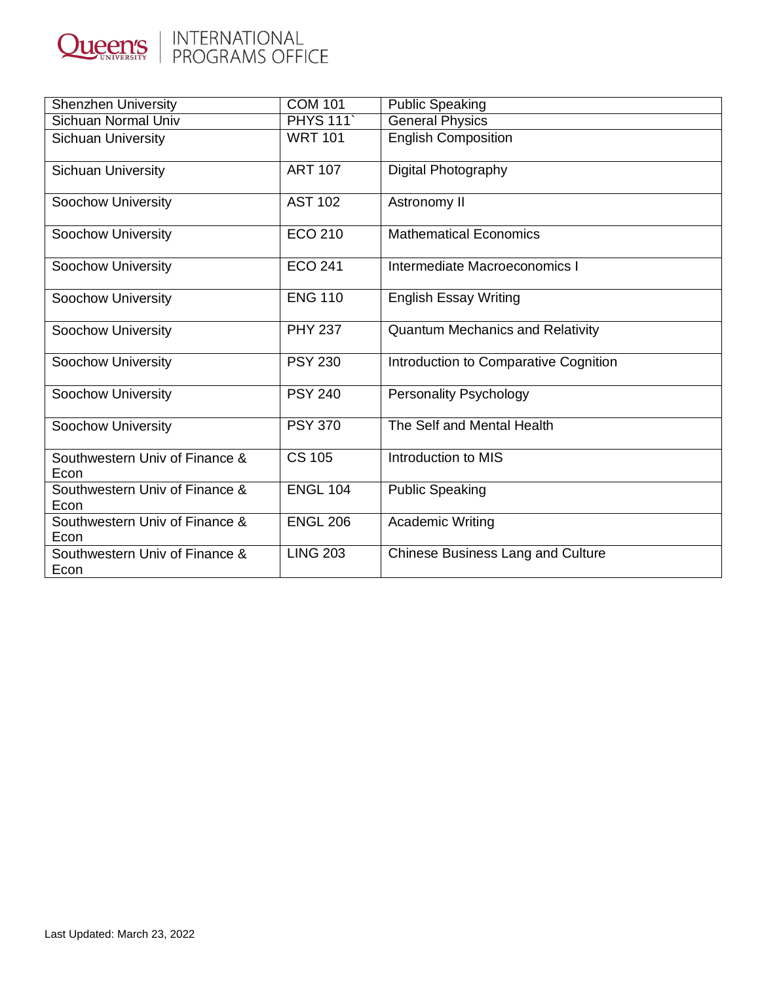

| <b>Shenzhen University</b>             | <b>COM 101</b>  | <b>Public Speaking</b>                   |
|----------------------------------------|-----------------|------------------------------------------|
| <b>Sichuan Normal Univ</b>             | <b>PHYS 111</b> | <b>General Physics</b>                   |
| <b>Sichuan University</b>              | <b>WRT 101</b>  | <b>English Composition</b>               |
| Sichuan University                     | <b>ART 107</b>  | Digital Photography                      |
| <b>Soochow University</b>              | <b>AST 102</b>  | Astronomy II                             |
| <b>Soochow University</b>              | <b>ECO 210</b>  | <b>Mathematical Economics</b>            |
| Soochow University                     | <b>ECO 241</b>  | Intermediate Macroeconomics I            |
| <b>Soochow University</b>              | <b>ENG 110</b>  | <b>English Essay Writing</b>             |
| Soochow University                     | <b>PHY 237</b>  | <b>Quantum Mechanics and Relativity</b>  |
| Soochow University                     | <b>PSY 230</b>  | Introduction to Comparative Cognition    |
| <b>Soochow University</b>              | <b>PSY 240</b>  | Personality Psychology                   |
| Soochow University                     | <b>PSY 370</b>  | The Self and Mental Health               |
| Southwestern Univ of Finance &<br>Econ | <b>CS 105</b>   | Introduction to MIS                      |
| Southwestern Univ of Finance &<br>Econ | <b>ENGL 104</b> | <b>Public Speaking</b>                   |
| Southwestern Univ of Finance &<br>Econ | <b>ENGL 206</b> | <b>Academic Writing</b>                  |
| Southwestern Univ of Finance &<br>Econ | <b>LING 203</b> | <b>Chinese Business Lang and Culture</b> |